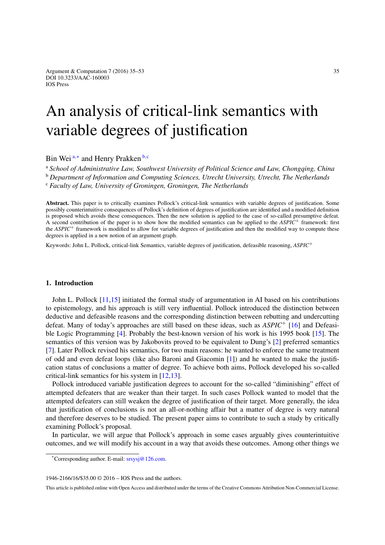Argument & Computation 7 (2016) 35–53 35 DOI 10.3233/AAC-160003 IOS Press

# An analysis of critical-link semantics with variable degrees of justification

<span id="page-0-0"></span>Bin Wei [a](#page-0-0)*,*[∗](#page-0-1) and Henry Prakken [b](#page-0-2)*,*[c](#page-0-3)

<span id="page-0-2"></span><sup>a</sup> *School of Administrative Law, Southwest University of Political Science and Law, Chongqing, China* <sup>b</sup> *Department of Information and Computing Sciences, Utrecht University, Utrecht, The Netherlands*

<span id="page-0-3"></span><sup>c</sup> *Faculty of Law, University of Groningen, Groningen, The Netherlands*

**Abstract.** This paper is to critically examines Pollock's critical-link semantics with variable degrees of justification. Some possibly counterintuitive consequences of Pollock's definition of degrees of justification are identified and a modified definition is proposed which avoids these consequences. Then the new solution is applied to the case of so-called presumptive defeat. A second contribution of the paper is to show how the modified semantics can be applied to the *ASPIC*<sup>+</sup> framework: first the *ASPIC*<sup>+</sup> framework is modified to allow for variable degrees of justification and then the modified way to compute these degrees is applied in a new notion of an argument graph.

Keywords: John L. Pollock, critical-link Semantics, variable degrees of justification, defeasible reasoning, *ASPIC*<sup>+</sup>

# **1. Introduction**

John L. Pollock [\[11](#page-18-0)[,15](#page-18-1)] initiated the formal study of argumentation in AI based on his contributions to epistemology, and his approach is still very influential. Pollock introduced the distinction between deductive and defeasible reasons and the corresponding distinction between rebutting and undercutting defeat. Many of today's approaches are still based on these ideas, such as *ASPIC*<sup>+</sup> [\[16\]](#page-18-2) and Defeasible Logic Programming [\[4\]](#page-18-3). Probably the best-known version of his work is his 1995 book [\[15](#page-18-1)]. The semantics of this version was by Jakobovits proved to be equivalent to Dung's [\[2\]](#page-18-4) preferred semantics [\[7\]](#page-18-5). Later Pollock revised his semantics, for two main reasons: he wanted to enforce the same treatment of odd and even defeat loops (like also Baroni and Giacomin [\[1](#page-18-6)]) and he wanted to make the justification status of conclusions a matter of degree. To achieve both aims, Pollock developed his so-called critical-link semantics for his system in [\[12](#page-18-7)[,13\]](#page-18-8).

Pollock introduced variable justification degrees to account for the so-called "diminishing" effect of attempted defeaters that are weaker than their target. In such cases Pollock wanted to model that the attempted defeaters can still weaken the degree of justification of their target. More generally, the idea that justification of conclusions is not an all-or-nothing affair but a matter of degree is very natural and therefore deserves to be studied. The present paper aims to contribute to such a study by critically examining Pollock's proposal.

In particular, we will argue that Pollock's approach in some cases arguably gives counterintuitive outcomes, and we will modify his account in a way that avoids these outcomes. Among other things we

1946-2166/16/\$35.00 © 2016 – IOS Press and the authors.

<span id="page-0-1"></span><sup>\*</sup>Corresponding author. E-mail: [srsysj@126.com.](mailto:srsysj@126.com)

This article is published online with Open Access and distributed under the terms of the Creative Commons Attribution Non-Commercial License.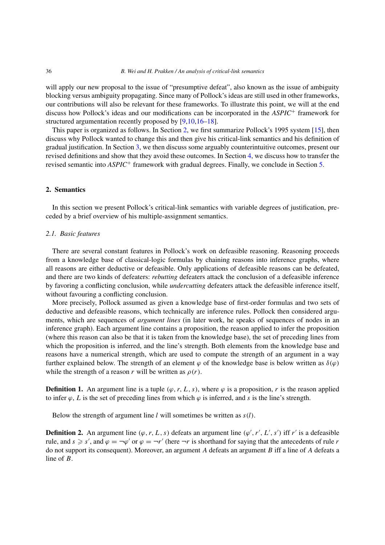will apply our new proposal to the issue of "presumptive defeat", also known as the issue of ambiguity blocking versus ambiguity propagating. Since many of Pollock's ideas are still used in other frameworks, our contributions will also be relevant for these frameworks. To illustrate this point, we will at the end discuss how Pollock's ideas and our modifications can be incorporated in the *ASPIC*<sup>+</sup> framework for structured argumentation recently proposed by [\[9](#page-18-9)[,10](#page-18-10)[,16](#page-18-2)[–18](#page-18-11)].

This paper is organized as follows. In Section [2,](#page-1-0) we first summarize Pollock's 1995 system [\[15](#page-18-1)], then discuss why Pollock wanted to change this and then give his critical-link semantics and his definition of gradual justification. In Section [3,](#page-7-0) we then discuss some arguably counterintuitive outcomes, present our revised definitions and show that they avoid these outcomes. In Section [4,](#page-11-0) we discuss how to transfer the revised semantic into *ASPIC*<sup>+</sup> framework with gradual degrees. Finally, we conclude in Section [5.](#page-17-0)

# <span id="page-1-0"></span>**2. Semantics**

In this section we present Pollock's critical-link semantics with variable degrees of justification, preceded by a brief overview of his multiple-assignment semantics.

#### *2.1. Basic features*

There are several constant features in Pollock's work on defeasible reasoning. Reasoning proceeds from a knowledge base of classical-logic formulas by chaining reasons into inference graphs, where all reasons are either deductive or defeasible. Only applications of defeasible reasons can be defeated, and there are two kinds of defeaters: *rebutting* defeaters attack the conclusion of a defeasible inference by favoring a conflicting conclusion, while *undercutting* defeaters attack the defeasible inference itself, without favouring a conflicting conclusion.

More precisely, Pollock assumed as given a knowledge base of first-order formulas and two sets of deductive and defeasible reasons, which technically are inference rules. Pollock then considered arguments, which are sequences of *argument lines* (in later work, he speaks of sequences of nodes in an inference graph). Each argument line contains a proposition, the reason applied to infer the proposition (where this reason can also be that it is taken from the knowledge base), the set of preceding lines from which the proposition is inferred, and the line's strength. Both elements from the knowledge base and reasons have a numerical strength, which are used to compute the strength of an argument in a way further explained below. The strength of an element  $\varphi$  of the knowledge base is below written as  $\delta(\varphi)$ while the strength of a reason *r* will be written as  $\rho(r)$ .

**Definition 1.** An argument line is a tuple  $(\varphi, r, L, s)$ , where  $\varphi$  is a proposition, *r* is the reason applied to infer  $\varphi$ , *L* is the set of preceding lines from which  $\varphi$  is inferred, and *s* is the line's strength.

Below the strength of argument line *l* will sometimes be written as *s(l)*.

<span id="page-1-1"></span>**Definition 2.** An argument line  $(\varphi, r, L, s)$  defeats an argument line  $(\varphi', r', L', s')$  iff  $r'$  is a defeasible rule, and  $s \geq s'$ , and  $\varphi = \neg \varphi'$  or  $\varphi = \neg r'$  (here  $\neg r$  is shorthand for saying that the antecedents of rule *r* do not support its consequent). Moreover, an argument *A* defeats an argument *B* iff a line of *A* defeats a line of *B*.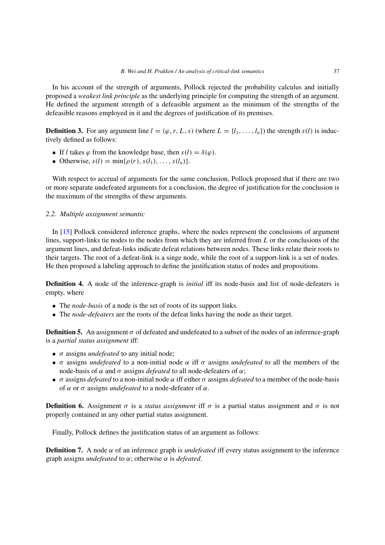In his account of the strength of arguments, Pollock rejected the probability calculus and initially proposed a *weakest link principle* as the underlying principle for computing the strength of an argument. He defined the argument strength of a defeasible argument as the minimum of the strengths of the defeasible reasons employed in it and the degrees of justification of its premises.

**Definition 3.** For any argument line  $l = (\varphi, r, L, s)$  (where  $L = \{l_1, \ldots, l_n\}$ ) the strength  $s(l)$  is inductively defined as follows:

- If *l* takes  $\varphi$  from the knowledge base, then  $s(l) = \delta(\varphi)$ .
- Otherwise,  $s(l) = \min\{\rho(r), s(l_1), \ldots, s(l_n)\}.$

With respect to accrual of arguments for the same conclusion, Pollock proposed that if there are two or more separate undefeated arguments for a conclusion, the degree of justification for the conclusion is the maximum of the strengths of these arguments.

#### *2.2. Multiple assignment semantic*

In [\[15\]](#page-18-1) Pollock considered inference graphs, where the nodes represent the conclusions of argument lines, support-links tie nodes to the nodes from which they are inferred from *L* or the conclusions of the argument lines, and defeat-links indicate defeat relations between nodes. These links relate their roots to their targets. The root of a defeat-link is a singe node, while the root of a support-link is a set of nodes. He then proposed a labeling approach to define the justification status of nodes and propositions.

**Definition 4.** A node of the inference-graph is *initial* iff its node-basis and list of node-defeaters is empty, where

- The *node-basis* of a node is the set of roots of its support links.
- The *node-defeaters* are the roots of the defeat links having the node as their target.

<span id="page-2-1"></span>**Definition 5.** An assignment  $\sigma$  of defeated and undefeated to a subset of the nodes of an inference-graph is a *partial status assignment* iff:

- *σ* assigns *undefeated* to any initial node;
- *σ* assigns *undefeated* to a non-initial node *α* iff *σ* assigns *undefeated* to all the members of the node-basis of  $\alpha$  and  $\sigma$  assigns *defeated* to all node-defeaters of  $\alpha$ ;
- *σ* assigns *defeated* to a non-initial node *α* iff either *σ* assigns *defeated* to a member of the node-basis of *α* or *σ* assigns *undefeated* to a node-defeater of *α*.

**Definition 6.** Assignment  $\sigma$  is a *status assignment* iff  $\sigma$  is a partial status assignment and  $\sigma$  is not properly contained in any other partial status assignment.

Finally, Pollock defines the justification status of an argument as follows:

<span id="page-2-0"></span>**Definition 7.** A node  $\alpha$  of an inference graph is *undefeated* iff every status assignment to the inference graph assigns *undefeated* to *α*; otherwise *α* is *defeated*.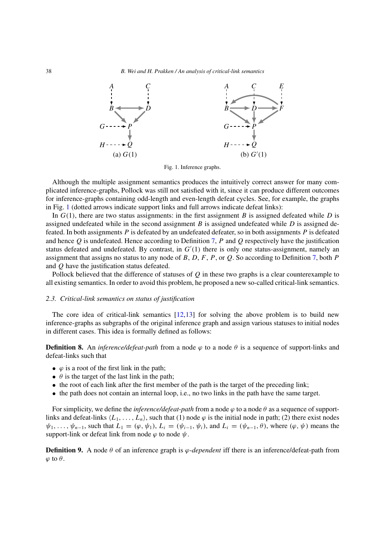38 *B. Wei and H. Prakken / An analysis of critical-link semantics*



<span id="page-3-0"></span>Fig. 1. Inference graphs.

Although the multiple assignment semantics produces the intuitively correct answer for many complicated inference-graphs, Pollock was still not satisfied with it, since it can produce different outcomes for inference-graphs containing odd-length and even-length defeat cycles. See, for example, the graphs in Fig. [1](#page-3-0) (dotted arrows indicate support links and full arrows indicate defeat links):

In  $G(1)$ , there are two status assignments: in the first assignment *B* is assigned defeated while *D* is assigned undefeated while in the second assignment *B* is assigned undefeated while *D* is assigned defeated. In both assignments *P* is defeated by an undefeated defeater, so in both assignments *P* is defeated and hence *Q* is undefeated. Hence according to Definition [7,](#page-2-0) *P* and *Q* respectively have the justification status defeated and undefeated. By contrast, in  $G'(1)$  there is only one status-assignment, namely an assignment that assigns no status to any node of *B*, *D*, *F*, *P*, or *Q*. So according to Definition [7,](#page-2-0) both *P* and *Q* have the justification status defeated.

Pollock believed that the difference of statuses of *Q* in these two graphs is a clear counterexample to all existing semantics. In order to avoid this problem, he proposed a new so-called critical-link semantics.

# *2.3. Critical-link semantics on status of justification*

The core idea of critical-link semantics  $[12,13]$  $[12,13]$  for solving the above problem is to build new inference-graphs as subgraphs of the original inference graph and assign various statuses to initial nodes in different cases. This idea is formally defined as follows:

**Definition 8.** An *inference/defeat-path* from a node  $\varphi$  to a node  $\theta$  is a sequence of support-links and defeat-links such that

- $\varphi$  is a root of the first link in the path;
- $\bullet$  *θ* is the target of the last link in the path;
- the root of each link after the first member of the path is the target of the preceding link;
- the path does not contain an internal loop, i.e., no two links in the path have the same target.

For simplicity, we define the *inference/defeat-path* from a node *ϕ* to a node *θ* as a sequence of supportlinks and defeat-links  $\langle L_1, \ldots, L_n \rangle$ , such that (1) node  $\varphi$  is the initial node in path; (2) there exist nodes  $\psi_1, \ldots, \psi_{n-1}$ , such that  $L_1 = (\varphi, \psi_1), L_i = (\psi_{i-1}, \psi_i)$ , and  $L_i = (\psi_{n-1}, \theta)$ , where  $(\varphi, \psi)$  means the support-link or defeat link from node  $\varphi$  to node  $\psi$ .

**Definition 9.** A node *θ* of an inference graph is *ϕ*-*dependent* iff there is an inference/defeat-path from *ϕ* to *θ*.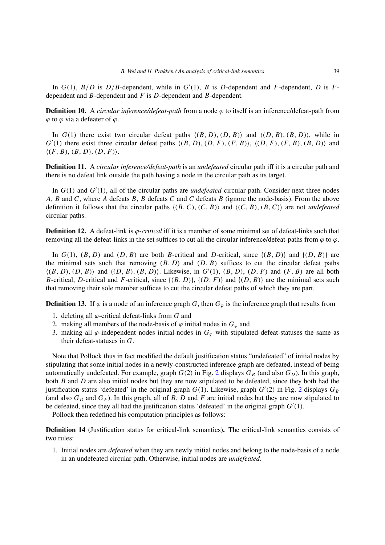In  $G(1)$ ,  $B/D$  is  $D/B$ -dependent, while in  $G'(1)$ ,  $B$  is  $D$ -dependent and  $F$ -dependent,  $D$  is  $F$ dependent and *B*-dependent and *F* is *D*-dependent and *B*-dependent.

**Definition 10.** A *circular inference/defeat-path* from a node *ϕ* to itself is an inference/defeat-path from *ϕ* to *ϕ* via a defeater of *ϕ*.

In  $G(1)$  there exist two circular defeat paths  $\langle (B, D), (D, B) \rangle$  and  $\langle (D, B), (B, D) \rangle$ , while in  $G'(1)$  there exist three circular defeat paths  $\langle (B, D), (D, F), (F, B) \rangle$ ,  $\langle (D, F), (F, B), (B, D) \rangle$  and  $\langle (F, B), (B, D), (D, F) \rangle$ .

**Definition 11.** A *circular inference/defeat-path* is an *undefeated* circular path iff it is a circular path and there is no defeat link outside the path having a node in the circular path as its target.

In *G(*1*)* and *G (*1*)*, all of the circular paths are *undefeated* circular path. Consider next three nodes *A*, *B* and *C*, where *A* defeats *B*, *B* defeats *C* and *C* defeats *B* (ignore the node-basis). From the above definition it follows that the circular paths  $\langle (B, C), (C, B) \rangle$  and  $\langle (C, B), (B, C) \rangle$  are not *undefeated* circular paths.

**Definition 12.** A defeat-link is  $\varphi$ *-critical* iff it is a member of some minimal set of defeat-links such that removing all the defeat-links in the set suffices to cut all the circular inference/defeat-paths from *ϕ* to *ϕ*.

In  $G(1)$ ,  $(B, D)$  and  $(D, B)$  are both *B*-critical and *D*-critical, since  $\{(B, D)\}\$ and  $\{(D, B)\}\$ are the minimal sets such that removing *(B, D)* and *(D, B)* suffices to cut the circular defeat paths  $\langle (B, D), (D, B) \rangle$  and  $\langle (D, B), (B, D) \rangle$ . Likewise, in *G*<sup>'</sup>(1),  $(B, D)$ ,  $(D, F)$  and  $(F, B)$  are all both *B*-critical, *D*-critical and *F*-critical, since  $\{(B, D)\}\$ ,  $\{(D, F)\}$  and  $\{(D, B)\}$  are the minimal sets such that removing their sole member suffices to cut the circular defeat paths of which they are part.

**Definition 13.** If  $\varphi$  is a node of an inference graph *G*, then  $G_{\varphi}$  is the inference graph that results from

- 1. deleting all *ϕ*-critical defeat-links from *G* and
- 2. making all members of the node-basis of  $\varphi$  initial nodes in  $G_{\varphi}$  and
- 3. making all  $\varphi$ -independent nodes initial-nodes in  $G_{\varphi}$  with stipulated defeat-statuses the same as their defeat-statuses in *G*.

Note that Pollock thus in fact modified the default justification status "undefeated" of initial nodes by stipulating that some initial nodes in a newly-constructed inference graph are defeated, instead of being automatically undefeated. For example, graph  $G(2)$  $G(2)$  $G(2)$  in Fig. 2 displays  $G_B$  (and also  $G_D$ ). In this graph, both *B* and *D* are also initial nodes but they are now stipulated to be defeated, since they both had the justification status 'defeated' in the original graph  $G(1)$ . Likewise, graph  $G'(2)$  $G'(2)$  $G'(2)$  in Fig. 2 displays  $G_B$ (and also  $G_D$  and  $G_F$ ). In this graph, all of *B*, *D* and *F* are initial nodes but they are now stipulated to be defeated, since they all had the justification status 'defeated' in the original graph *G (*1*)*.

Pollock then redefined his computation principles as follows:

**Definition 14** (Justification status for critical-link semantics)**.** The critical-link semantics consists of two rules:

1. Initial nodes are *defeated* when they are newly initial nodes and belong to the node-basis of a node in an undefeated circular path. Otherwise, initial nodes are *undefeated*.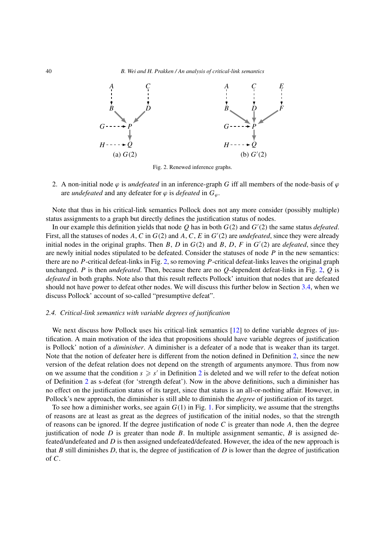40 *B. Wei and H. Prakken / An analysis of critical-link semantics*



<span id="page-5-0"></span>Fig. 2. Renewed inference graphs.

2. A non-initial node  $\varphi$  is *undefeated* in an inference-graph G iff all members of the node-basis of  $\varphi$ are *undefeated* and any defeater for  $\varphi$  is *defeated* in  $G_{\varphi}$ .

Note that thus in his critical-link semantics Pollock does not any more consider (possibly multiple) status assignments to a graph but directly defines the justification status of nodes.

In our example this definition yields that node *Q* has in both *G(*2*)* and *G (*2*)* the same status *defeated*. First, all the statuses of nodes *A*, *C* in *G(*2*)* and *A*, *C*, *E* in *G (*2*)* are *undefeated*, since they were already initial nodes in the original graphs. Then  $B$ ,  $D$  in  $G(2)$  and  $B$ ,  $D$ ,  $F$  in  $G'(2)$  are *defeated*, since they are newly initial nodes stipulated to be defeated. Consider the statuses of node *P* in the new semantics: there are no *P*-critical defeat-links in Fig. [2,](#page-5-0) so removing *P*-critical defeat-links leaves the original graph unchanged. *P* is then *undefeated*. Then, because there are no *Q*-dependent defeat-links in Fig. [2,](#page-5-0) *Q* is *defeated* in both graphs. Note also that this result reflects Pollock' intuition that nodes that are defeated should not have power to defeat other nodes. We will discuss this further below in Section [3.4,](#page-8-0) when we discuss Pollock' account of so-called "presumptive defeat".

# *2.4. Critical-link semantics with variable degrees of justification*

We next discuss how Pollock uses his critical-link semantics [\[12](#page-18-7)] to define variable degrees of justification. A main motivation of the idea that propositions should have variable degrees of justification is Pollock' notion of a *diminisher*. A diminisher is a defeater of a node that is weaker than its target. Note that the notion of defeater here is different from the notion defined in Definition [2,](#page-1-1) since the new version of the defeat relation does not depend on the strength of arguments anymore. Thus from now on we assume that the condition  $s \geq s'$  in Definition [2](#page-1-1) is deleted and we will refer to the defeat notion of Definition [2](#page-1-1) as s-defeat (for 'strength defeat'). Now in the above definitions, such a diminisher has no effect on the justification status of its target, since that status is an all-or-nothing affair. However, in Pollock's new approach, the diminisher is still able to diminish the *degree* of justification of its target.

To see how a diminisher works, see again *G(*1*)* in Fig. [1.](#page-3-0) For simplicity, we assume that the strengths of reasons are at least as great as the degrees of justification of the initial nodes, so that the strength of reasons can be ignored. If the degree justification of node *C* is greater than node *A*, then the degree justification of node *D* is greater than node *B*. In multiple assignment semantic, *B* is assigned defeated/undefeated and *D* is then assigned undefeated/defeated. However, the idea of the new approach is that *B* still diminishes *D*, that is, the degree of justification of *D* is lower than the degree of justification of *C*.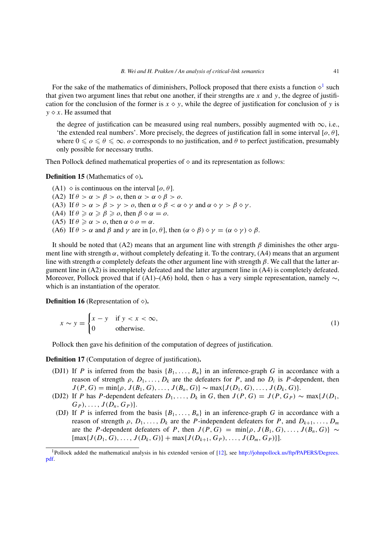For the sake of the mathematics of diminishers, Pollock proposed that there exists a function  $\diamond^1$  $\diamond^1$  such that given two argument lines that rebut one another, if their strengths are *x* and *y*, the degree of justification for the conclusion of the former is  $x \diamond y$ , while the degree of justification for conclusion of *y* is  $y \diamond x$ . He assumed that

the degree of justification can be measured using real numbers, possibly augmented with  $\infty$ , i.e., 'the extended real numbers'. More precisely, the degrees of justification fall in some interval [*o, θ*], where  $0 \leq \rho \leq \theta \leq \infty$ . *o* corresponds to no justification, and  $\theta$  to perfect justification, presumably only possible for necessary truths.

Then Pollock defined mathematical properties of  $\diamond$  and its representation as follows:

**Definition 15** (Mathematics of  $\diamond$ ).

(A1)  $\Diamond$  is continuous on the interval [ $o, \theta$ ]. (A2) If  $\theta > \alpha > \beta > 0$ , then  $\alpha > \alpha \diamond \beta > 0$ . (A3) If  $\theta > \alpha > \beta > \gamma > 0$ , then  $\alpha \diamond \beta < \alpha \diamond \gamma$  and  $\alpha \diamond \gamma > \beta \diamond \gamma$ . (A4) If  $\theta \ge \alpha \ge \beta \ge o$ , then  $\beta \diamond \alpha = o$ . (A5) If  $\theta \ge \alpha > 0$ , then  $\alpha \diamond o = \alpha$ . (A6) If  $\theta > \alpha$  and  $\beta$  and  $\gamma$  are in  $[\alpha, \theta]$ , then  $(\alpha \diamond \beta) \diamond \gamma = (\alpha \diamond \gamma) \diamond \beta$ .

It should be noted that (A2) means that an argument line with strength *β* diminishes the other argument line with strength  $\alpha$ , without completely defeating it. To the contrary, (A4) means that an argument line with strength *α* completely defeats the other argument line with strength *β*. We call that the latter argument line in (A2) is incompletely defeated and the latter argument line in (A4) is completely defeated. Moreover, Pollock proved that if (A1)–(A6) hold, then  $\diamond$  has a very simple representation, namely  $\sim$ , which is an instantiation of the operator.

**Definition 16** (Representation of  $\diamond$ ).

$$
x \sim y = \begin{cases} x - y & \text{if } y < x < \infty, \\ 0 & \text{otherwise.} \end{cases}
$$
 (1)

Pollock then gave his definition of the computation of degrees of justification.

<span id="page-6-1"></span>**Definition 17** (Computation of degree of justification)**.**

- (DJ1) If *P* is inferred from the basis  ${B_1, \ldots, B_n}$  in an inference-graph *G* in accordance with a reason of strength  $\rho$ ,  $D_1, \ldots, D_k$  are the defeaters for *P*, and no  $D_i$  is *P*-dependent, then  $J(P, G) = \min\{\rho, J(B_1, G), \ldots, J(B_n, G)\}\sim \max\{J(D_1, G), \ldots, J(D_k, G)\}.$
- (DJ2) If *P* has *P*-dependent defeaters  $D_1, \ldots, D_k$  in *G*, then  $J(P, G) = J(P, G_P) \sim \max\{J(D_1,$  $G_P$ , ...,  $J(D_n, G_P)$ .
- (DJ) If *P* is inferred from the basis  $\{B_1, \ldots, B_n\}$  in an inference-graph *G* in accordance with a reason of strength  $\rho$ ,  $D_1, \ldots, D_k$  are the *P*-independent defeaters for *P*, and  $D_{k+1}, \ldots, D_m$ are the *P*-dependent defeaters of *P*, then  $J(P, G) = \min\{\rho, J(B_1, G), \ldots, J(B_n, G)\}\sim$  $[\max\{J(D_1, G), \ldots, J(D_k, G)\} + \max\{J(D_{k+1}, G_P), \ldots, J(D_m, G_P)\}].$

<span id="page-6-0"></span><sup>&</sup>lt;sup>1</sup>Pollock added the mathematical analysis in his extended version of [\[12](#page-18-7)], see [http://johnpollock.us/ftp/PAPERS/Degrees.](http://johnpollock.us/ftp/PAPERS/Degrees.pdf) [pdf.](http://johnpollock.us/ftp/PAPERS/Degrees.pdf)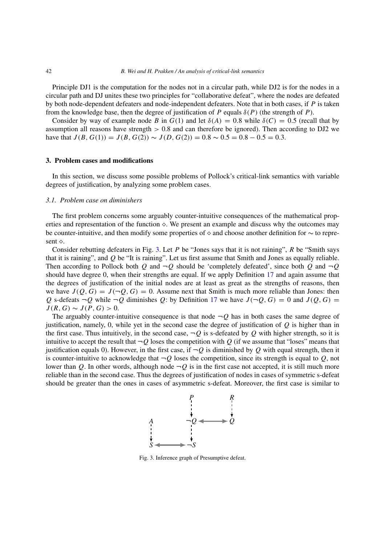Principle DJ1 is the computation for the nodes not in a circular path, while DJ2 is for the nodes in a circular path and DJ unites these two principles for "collaborative defeat", where the nodes are defeated by both node-dependent defeaters and node-independent defeaters. Note that in both cases, if *P* is taken from the knowledge base, then the degree of justification of *P* equals  $\delta(P)$  (the strength of *P*).

Consider by way of example node *B* in  $G(1)$  and let  $\delta(A) = 0.8$  while  $\delta(C) = 0.5$  (recall that by assumption all reasons have strength *>* 0.8 and can therefore be ignored). Then according to DJ2 we have that  $J(B, G(1)) = J(B, G(2)) \sim J(D, G(2)) = 0.8 \sim 0.5 = 0.8 - 0.5 = 0.3$ .

# <span id="page-7-0"></span>**3. Problem cases and modifications**

In this section, we discuss some possible problems of Pollock's critical-link semantics with variable degrees of justification, by analyzing some problem cases.

#### <span id="page-7-2"></span>*3.1. Problem case on diminishers*

The first problem concerns some arguably counter-intuitive consequences of the mathematical properties and representation of the function  $\diamond$ . We present an example and discuss why the outcomes may be counter-intuitive, and then modify some properties of  $\Diamond$  and choose another definition for  $\sim$  to represent  $\diamond$ .

Consider rebutting defeaters in Fig. [3.](#page-7-1) Let *P* be "Jones says that it is not raining", *R* be "Smith says that it is raining", and *Q* be "It is raining". Let us first assume that Smith and Jones as equally reliable. Then according to Pollock both *Q* and  $\neg Q$  should be 'completely defeated', since both *Q* and  $\neg Q$ should have degree 0, when their strengths are equal. If we apply Definition [17](#page-6-1) and again assume that the degrees of justification of the initial nodes are at least as great as the strengths of reasons, then we have  $J(Q, G) = J(\neg Q, G) = 0$ . Assume next that Smith is much more reliable than Jones: then *Q* s-defeats  $\neg Q$  while  $\neg Q$  diminishes *Q*: by Definition [17](#page-6-1) we have *J*( $\neg Q$ , *G*) = 0 and *J*( $Q$ , *G*) =  $J(R, G) \sim J(P, G) > 0.$ 

The arguably counter-intuitive consequence is that node  $\neg Q$  has in both cases the same degree of justification, namely, 0, while yet in the second case the degree of justification of  $\hat{O}$  is higher than in the first case. Thus intuitively, in the second case,  $\neg Q$  is s-defeated by  $Q$  with higher strength, so it is intuitive to accept the result that  $\neg Q$  loses the competition with  $Q$  (if we assume that "loses" means that justification equals 0). However, in the first case, if  $\neg Q$  is diminished by  $Q$  with equal strength, then it is counter-intuitive to acknowledge that  $\neg Q$  loses the competition, since its strength is equal to  $Q$ , not lower than *Q*. In other words, although node  $\neg Q$  is in the first case not accepted, it is still much more reliable than in the second case. Thus the degrees of justification of nodes in cases of symmetric s-defeat should be greater than the ones in cases of asymmetric s-defeat. Moreover, the first case is similar to



<span id="page-7-1"></span>Fig. 3. Inference graph of Presumptive defeat.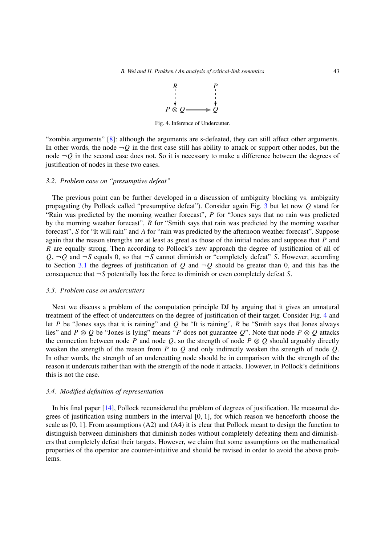

<span id="page-8-1"></span>Fig. 4. Inference of Undercutter.

"zombie arguments" [\[8\]](#page-18-12): although the arguments are s-defeated, they can still affect other arguments. In other words, the node  $\neg Q$  in the first case still has ability to attack or support other nodes, but the node  $\neg Q$  in the second case does not. So it is necessary to make a difference between the degrees of justification of nodes in these two cases.

# *3.2. Problem case on "presumptive defeat"*

The previous point can be further developed in a discussion of ambiguity blocking vs. ambiguity propagating (by Pollock called "presumptive defeat"). Consider again Fig. [3](#page-7-1) but let now *Q* stand for "Rain was predicted by the morning weather forecast", *P* for "Jones says that no rain was predicted by the morning weather forecast", *R* for "Smith says that rain was predicted by the morning weather forecast", *S* for "It will rain" and *A* for "rain was predicted by the afternoon weather forecast". Suppose again that the reason strengths are at least as great as those of the initial nodes and suppose that *P* and *R* are equally strong. Then according to Pollock's new approach the degree of justification of all of  $Q$ ,  $\neg Q$  and  $\neg S$  equals 0, so that  $\neg S$  cannot diminish or "completely defeat" *S*. However, according to Section [3.1](#page-7-2) the degrees of justification of  $Q$  and  $\neg Q$  should be greater than 0, and this has the consequence that ¬*S* potentially has the force to diminish or even completely defeat *S*.

### <span id="page-8-2"></span>*3.3. Problem case on undercutters*

Next we discuss a problem of the computation principle DJ by arguing that it gives an unnatural treatment of the effect of undercutters on the degree of justification of their target. Consider Fig. [4](#page-8-1) and let *P* be "Jones says that it is raining" and *Q* be "It is raining", *R* be "Smith says that Jones always lies" and *P*  $\otimes$  *Q* be "Jones is lying" means "*P* does not guarantee *Q*". Note that node *P*  $\otimes$  *Q* attacks the connection between node *P* and node *Q*, so the strength of node  $P \otimes Q$  should arguably directly weaken the strength of the reason from *P* to *Q* and only indirectly weaken the strength of node *Q*. In other words, the strength of an undercutting node should be in comparison with the strength of the reason it undercuts rather than with the strength of the node it attacks. However, in Pollock's definitions this is not the case.

#### <span id="page-8-0"></span>*3.4. Modified definition of representation*

In his final paper [\[14\]](#page-18-13), Pollock reconsidered the problem of degrees of justification. He measured degrees of justification using numbers in the interval [0*,* 1], for which reason we henceforth choose the scale as [0*,* 1]. From assumptions (A2) and (A4) it is clear that Pollock meant to design the function to distinguish between diminishers that diminish nodes without completely defeating them and diminishers that completely defeat their targets. However, we claim that some assumptions on the mathematical properties of the operator are counter-intuitive and should be revised in order to avoid the above problems.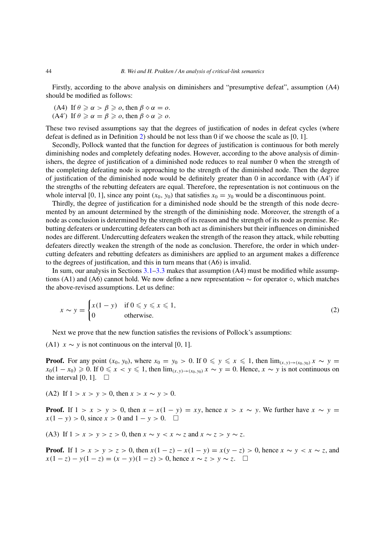Firstly, according to the above analysis on diminishers and "presumptive defeat", assumption (A4) should be modified as follows:

(A4) If  $\theta \ge \alpha > \beta \ge o$ , then  $\beta \diamond \alpha = o$ .  $(A4')$  If  $\theta \ge \alpha = \beta \ge \alpha$ , then  $\beta \diamond \alpha \ge \alpha$ .

These two revised assumptions say that the degrees of justification of nodes in defeat cycles (where defeat is defined as in Definition [2\)](#page-1-1) should be not less than 0 if we choose the scale as [0*,* 1].

Secondly, Pollock wanted that the function for degrees of justification is continuous for both merely diminishing nodes and completely defeating nodes. However, according to the above analysis of diminishers, the degree of justification of a diminished node reduces to real number 0 when the strength of the completing defeating node is approaching to the strength of the diminished node. Then the degree of justification of the diminished node would be definitely greater than 0 in accordance with (A4 ) if the strengths of the rebutting defeaters are equal. Therefore, the representation is not continuous on the whole interval [0, 1], since any point  $(x_0, y_0)$  that satisfies  $x_0 = y_0$  would be a discontinuous point.

Thirdly, the degree of justification for a diminished node should be the strength of this node decremented by an amount determined by the strength of the diminishing node. Moreover, the strength of a node as conclusion is determined by the strength of its reason and the strength of its node as premise. Rebutting defeaters or undercutting defeaters can both act as diminishers but their influences on diminished nodes are different. Undercutting defeaters weaken the strength of the reason they attack, while rebutting defeaters directly weaken the strength of the node as conclusion. Therefore, the order in which undercutting defeaters and rebutting defeaters as diminishers are applied to an argument makes a difference to the degrees of justification, and this in turn means that (A6) is invalid.

In sum, our analysis in Sections [3.1–](#page-7-2)[3.3](#page-8-2) makes that assumption (A4) must be modified while assumptions (A1) and (A6) cannot hold. We now define a new representation  $\sim$  for operator  $\diamond$ , which matches the above-revised assumptions. Let us define:

$$
x \sim y = \begin{cases} x(1-y) & \text{if } 0 \leq y \leq x \leq 1, \\ 0 & \text{otherwise.} \end{cases}
$$
 (2)

Next we prove that the new function satisfies the revisions of Pollock's assumptions:

(A1)  $x \sim y$  is not continuous on the interval [0, 1].

**Proof.** For any point  $(x_0, y_0)$ , where  $x_0 = y_0 > 0$ . If  $0 \le y \le x \le 1$ , then  $\lim_{(x,y)\to(x_0,y_0)} x \sim y =$ *x*<sub>0</sub>(1 − *x*<sub>0</sub>)  $\ge$  0. If  $0 \le x < y \le 1$ , then lim<sub>(*x,y*)→(*x*<sub>0</sub>*,y*<sub>0</sub>)</sub> *x* ∼ *y* = 0. Hence, *x* ∼ *y* is not continuous on the interval [0, 1].  $\square$ 

(A2) If  $1 > x > y > 0$ , then  $x > x \sim y > 0$ .

**Proof.** If  $1 > x > y > 0$ , then  $x - x(1 - y) = xy$ , hence  $x > x \sim y$ . We further have  $x \sim y =$ *x*(1 − *y*) > 0, since *x* > 0 and 1 − *y* > 0.  $\Box$ 

(A3) If  $1 > x > y > z > 0$ , then  $x \sim y < x \sim z$  and  $x \sim z > y \sim z$ .

**Proof.** If  $1 > x > y > z > 0$ , then  $x(1 - z) - x(1 - y) = x(y - z) > 0$ , hence  $x \sim y < x \sim z$ , and *x*(1 − *z*) − *y*(1 − *z*) = (*x* − *y*)(1 − *z*) > 0, hence *x* ~ *z* > *y* ~ *z*.  $\Box$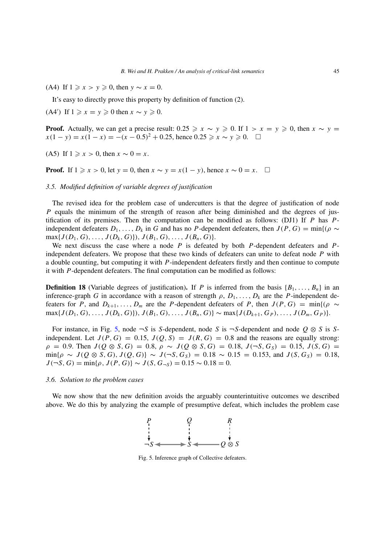(A4) If  $1 \ge x > y \ge 0$ , then  $y \sim x = 0$ .

It's easy to directly prove this property by definition of function (2).

(A4<sup>'</sup>) If  $1 \ge x = y \ge 0$  then  $x \sim y \ge 0$ .

**Proof.** Actually, we can get a precise result:  $0.25 \ge x \sim y \ge 0$ . If  $1 > x = y \ge 0$ , then  $x \sim y =$ *x*(1 − *y*) = *x*(1 − *x*) = −(*x* − 0*.5*)<sup>2</sup> + 0*.*25*,* hence 0*.*25 ≥ *x* ∼ *y* ≥ 0. □

(A5) If  $1 \ge x > 0$ , then  $x \sim 0 = x$ .

**Proof.** If  $1 \ge x > 0$ , let  $y = 0$ , then  $x \sim y = x(1 - y)$ , hence  $x \sim 0 = x$ .  $\Box$ 

*3.5. Modified definition of variable degrees of justification*

The revised idea for the problem case of undercutters is that the degree of justification of node *P* equals the minimum of the strength of reason after being diminished and the degrees of justification of its premises. Then the computation can be modified as follows: (DJ1) If *P* has *P*independent defeaters  $D_1, \ldots, D_k$  in *G* and has no *P*-dependent defeaters, then  $J(P, G) = \min\{(\rho \sim$  $\max\{J(D_1, G), \ldots, J(D_k, G)\}, J(B_1, G), \ldots, J(B_n, G)\}.$ 

We next discuss the case where a node *P* is defeated by both *P*-dependent defeaters and *P*independent defeaters. We propose that these two kinds of defeaters can unite to defeat node *P* with a double counting, but computing it with *P*-independent defeaters firstly and then continue to compute it with *P*-dependent defeaters. The final computation can be modified as follows:

**Definition 18** (Variable degrees of justification). If *P* is inferred from the basis  ${B_1, \ldots, B_n}$  in an inference-graph *G* in accordance with a reason of strength  $\rho$ ,  $D_1, \ldots, D_k$  are the *P*-independent defeaters for *P*, and  $D_{k+1}, \ldots, D_m$  are the *P*-dependent defeaters of *P*, then  $J(P, G) = \min\{(\rho \sim$  $max\{J(D_1, G), \ldots, J(D_k, G)\}, \, J(B_1, G), \ldots, J(B_n, G)\}$  ∼  $max\{J(D_{k+1}, G_P), \ldots, J(D_m, G_P)\}.$ 

For instance, in Fig. [5,](#page-10-0) node  $\neg S$  is *S*-dependent, node *S* is  $\neg S$ -dependent and node *Q*  $\otimes$  *S* is *S*independent. Let  $J(P, G) = 0.15$ ,  $J(Q, S) = J(R, G) = 0.8$  and the reasons are equally strong:  $\rho = 0.9$ . Then  $J(Q \otimes S, G) = 0.8$ ,  $\rho \sim J(Q \otimes S, G) = 0.18$ ,  $J(\neg S, G_S) = 0.15$ ,  $J(S, G) =$  $\min\{\rho \sim J(Q \otimes S, G), J(Q, G)\}\sim J(\neg S, G_S) = 0.18 \sim 0.15 = 0.153$ , and  $J(S, G_S) = 0.18$ ,  $J(¬S, G) = min{ρ, J(P, G)} ∼ J(S, G<sub>¬S</sub>) = 0.15 ∼ 0.18 = 0.$ 

# *3.6. Solution to the problem cases*

We now show that the new definition avoids the arguably counterintuitive outcomes we described above. We do this by analyzing the example of presumptive defeat, which includes the problem case



<span id="page-10-0"></span>Fig. 5. Inference graph of Collective defeaters.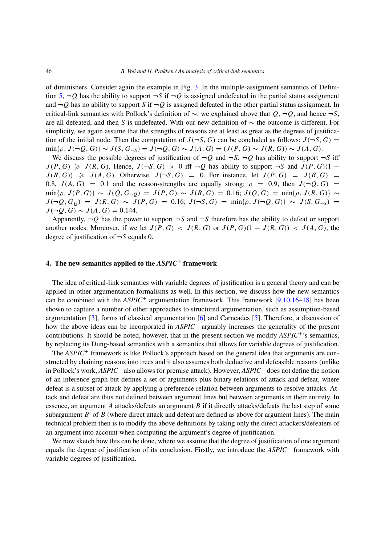of diminishers. Consider again the example in Fig. [3.](#page-7-1) In the multiple-assignment semantics of Defini-tion [5,](#page-2-1)  $\neg$ *Q* has the ability to support  $\neg$ *S* if  $\neg$ *Q* is assigned undefeated in the partial status assignment and  $\neg Q$  has no ability to support *S* if  $\neg Q$  is assigned defeated in the other partial status assignment. In critical-link semantics with Pollock's definition of <sup>∼</sup>, we explained above that *<sup>Q</sup>*, <sup>¬</sup>*Q*, and hence <sup>¬</sup>*S*, are all defeated, and then *<sup>S</sup>* is undefeated. With our new definition of <sup>∼</sup> the outcome is different. For simplicity, we again assume that the strengths of reasons are at least as great as the degrees of justification of the initial node. Then the computation of  $J(\neg S, G)$  can be concluded as follows:  $J(\neg S, G)$  =  $\min\{\rho, J(\neg Q, G)\}\sim J(S, G_{\neg S}) = J(\neg Q, G) \sim J(A, G) = (J(P, G) \sim J(R, G)) \sim J(A, G)$ .

We discuss the possible degrees of justification of  $\neg Q$  and  $\neg S$ .  $\neg Q$  has ability to support  $\neg S$  iff  $J(P, G) \geq J(R, G)$ . Hence,  $J(\neg S, G) > 0$  iff  $\neg Q$  has ability to support  $\neg S$  and  $J(P, G)(1 J(R, G)$   $\geqslant$   $J(A, G)$ . Otherwise,  $J(\neg S, G) = 0$ . For instance, let  $J(P, G) = J(R, G) =$ 0.8,  $J(A, G) = 0.1$  and the reason-strengths are equally strong:  $\rho = 0.9$ , then  $J(\neg Q, G) =$  $\min\{\rho, J(P, G)\}\sim J(Q, G_{\neg Q}) = J(P, G) \sim J(R, G) = 0.16; J(Q, G) = \min\{\rho, J(R, G)\}\sim$  $J(\neg Q, G_Q) = J(R, G) \sim J(P, G) = 0.16; J(\neg S, G) = \min\{\rho, J(\neg Q, G)\} \sim J(S, G_{\neg S}) =$ *J*( $\neg Q$ , *G*) ∼ *J*(*A*, *G*) = 0.144.

Apparently,  $\neg O$  has the power to support  $\neg S$  and  $\neg S$  therefore has the ability to defeat or support another nodes. Moreover, if we let  $J(P, G) < J(R, G)$  or  $J(P, G)(1 - J(R, G)) < J(A, G)$ , the degree of justification of ¬*S* equals 0.

# <span id="page-11-0"></span>**4. The new semantics applied to the** *ASPIC*<sup>+</sup> **framework**

The idea of critical-link semantics with variable degrees of justification is a general theory and can be applied in other argumentation formalisms as well. In this section, we discuss how the new semantics can be combined with the *ASPIC*<sup>+</sup> argumentation framework. This framework [\[9](#page-18-9)[,10](#page-18-10)[,16](#page-18-2)[–18](#page-18-11)] has been shown to capture a number of other approaches to structured argumentation, such as assumption-based argumentation [\[3\]](#page-18-14), forms of classical argumentation [\[6](#page-18-15)] and Carneades [\[5\]](#page-18-16). Therefore, a discussion of how the above ideas can be incorporated in *ASPIC*<sup>+</sup> arguably increases the generality of the present contributions. It should be noted, however, that in the present section we modify *ASPIC*<sup>+</sup>'s semantics, by replacing its Dung-based semantics with a semantics that allows for variable degrees of justification.

The *ASPIC*<sup>+</sup> framework is like Pollock's approach based on the general idea that arguments are constructed by chaining reasons into trees and it also assumes both deductive and defeasible reasons (unlike in Pollock's work, *ASPIC*<sup>+</sup> also allows for premise attack). However, *ASPIC*<sup>+</sup> does not define the notion of an inference graph but defines a set of arguments plus binary relations of attack and defeat, where defeat is a subset of attack by applying a preference relation between arguments to resolve attacks. Attack and defeat are thus not defined between argument lines but between arguments in their entirety. In essence, an argument *A* attacks/defeats an argument *B* if it directly attacks/defeats the last step of some subargument  $B'$  of  $B$  (where direct attack and defeat are defined as above for argument lines). The main technical problem then is to modify the above definitions by taking only the direct attackers/defeaters of an argument into account when computing the argument's degree of justification.

We now sketch how this can be done, where we assume that the degree of justification of one argument equals the degree of justification of its conclusion. Firstly, we introduce the *ASPIC*<sup>+</sup> framework with variable degrees of justification.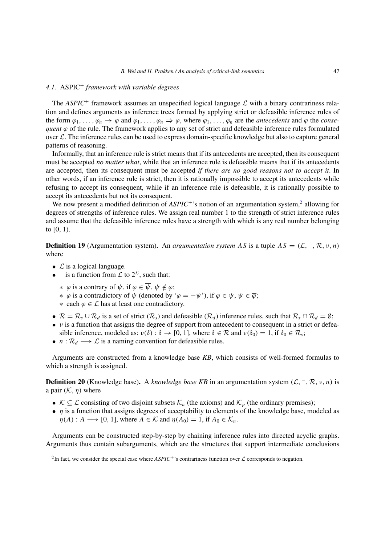# *4.1.* ASPIC<sup>+</sup> *framework with variable degrees*

The *ASPIC*<sup>+</sup> framework assumes an unspecified logical language  $\mathcal L$  with a binary contrariness relation and defines arguments as inference trees formed by applying strict or defeasible inference rules of the form  $\varphi_1, \ldots, \varphi_n \to \varphi$  and  $\varphi_1, \ldots, \varphi_n \Rightarrow \varphi$ , where  $\varphi_1, \ldots, \varphi_n$  are the *antecedents* and  $\varphi$  the *consequent ϕ* of the rule. The framework applies to any set of strict and defeasible inference rules formulated over L. The inference rules can be used to express domain-specific knowledge but also to capture general patterns of reasoning.

Informally, that an inference rule is strict means that if its antecedents are accepted, then its consequent must be accepted *no matter what*, while that an inference rule is defeasible means that if its antecedents are accepted, then its consequent must be accepted *if there are no good reasons not to accept it*. In other words, if an inference rule is strict, then it is rationally impossible to accept its antecedents while refusing to accept its consequent, while if an inference rule is defeasible, it is rationally possible to accept its antecedents but not its consequent.

We now present a modified definition of *ASPIC*<sup>+</sup>'s notion of an argumentation system,<sup>2</sup> allowing for degrees of strengths of inference rules. We assign real number 1 to the strength of strict inference rules and assume that the defeasible inference rules have a strength with which is any real number belonging to [0*,* 1*)*.

**Definition 19** (Argumentation system). An *argumentation system AS* is a tuple  $AS = (\mathcal{L}, \neg, \mathcal{R}, \nu, n)$ where

- $\bullet$   $\mathcal L$  is a logical language.
- $\overline{\phantom{a}}$  is a function from  $\overline{\mathcal{L}}$  to  $2^{\mathcal{L}}$ , such that:
	- $\ast$  *ϕ* is a contrary of *ψ*, if *ϕ* ∈  $\overline{\psi}$ , *ψ* ∉  $\overline{\varphi}$ ;
	- ∗ *ϕ* is a contradictory of *ψ* (denoted by '*ϕ* = −*ψ*'), if *ϕ* ∈ *ψ*, *ψ* ∈ *ϕ*;
	- ∗ each *ϕ* ∈ L has at least one contradictory.
- $\mathcal{R} = \mathcal{R}_s \cup \mathcal{R}_d$  is a set of strict  $(\mathcal{R}_s)$  and defeasible  $(\mathcal{R}_d)$  inference rules, such that  $\mathcal{R}_s \cap \mathcal{R}_d = \emptyset$ ;
- *ν* is a function that assigns the degree of support from antecedent to consequent in a strict or defeasible inference, modeled as:  $v(\delta) : \delta \to [0, 1]$ , where  $\delta \in \mathcal{R}$  and  $v(\delta_0) = 1$ , if  $\delta_0 \in \mathcal{R}_s$ ;
- *n* :  $\mathcal{R}_d \longrightarrow \mathcal{L}$  is a naming convention for defeasible rules.

Arguments are constructed from a knowledge base *KB*, which consists of well-formed formulas to which a strength is assigned.

**Definition 20** (Knowledge base). A *knowledge base KB* in an argumentation system  $(L, \neg, \mathcal{R}, v, n)$  is a pair  $(K, \eta)$  where

- $K \subseteq \mathcal{L}$  consisting of two disjoint subsets  $\mathcal{K}_n$  (the axioms) and  $\mathcal{K}_p$  (the ordinary premises);
- *η* is a function that assigns degrees of acceptability to elements of the knowledge base, modeled as  $\eta(A)$ :  $A \longrightarrow [0, 1]$ , where  $A \in \mathcal{K}$  and  $\eta(A_0) = 1$ , if  $A_0 \in \mathcal{K}_n$ .

Arguments can be constructed step-by-step by chaining inference rules into directed acyclic graphs. Arguments thus contain subarguments, which are the structures that support intermediate conclusions

<span id="page-12-0"></span><sup>&</sup>lt;sup>2</sup>In fact, we consider the special case where *ASPIC*<sup>+</sup>'s contrariness function over  $\mathcal L$  corresponds to negation.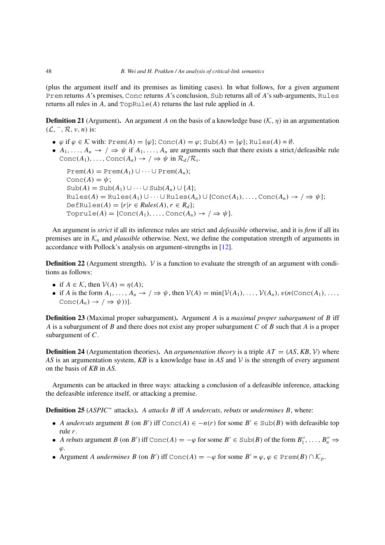(plus the argument itself and its premises as limiting cases). In what follows, for a given argument Prem returns *A*'s premises, Conc returns *A*'s conclusion, Sub returns all of *A*'s sub-arguments, Rules returns all rules in *A*, and TopRule*(A)* returns the last rule applied in *A*.

**Definition 21** (Argument). An argument *A* on the basis of a knowledge base  $(K, \eta)$  in an argumentation *(*L*,* <sup>−</sup>*,* <sup>R</sup>*, ν, n)* is:

- $\phi$  *ϕ* if  $\phi \in \mathcal{K}$  with: Prem(A) = { $\phi$ }; Conc(A) =  $\phi$ ; Sub(A) = { $\phi$ }; Rules(A) = Ø.
- $A_1, \ldots, A_n \rightarrow / \Rightarrow \psi$  if  $A_1, \ldots, A_n$  are arguments such that there exists a strict/defeasible rule  $Conc(A_1), \ldots, Conc(A_n) \rightarrow / \Rightarrow \psi$  in  $\mathcal{R}_d/\mathcal{R}_s$ .

 $Prem(A) = Prem(A_1) \cup \cdots \cup Prem(A_n);$  $Conc(A) = \psi$ ;  $\text{Sub}(A) = \text{Sub}(A_1) \cup \cdots \cup \text{Sub}(A_n) \cup \{A\};$  $\text{Rules}(A) = \text{Rules}(A_1) \cup \cdots \cup \text{Rules}(A_n) \cup \{\text{Conc}(A_1), \ldots, \text{Conc}(A_n) \rightarrow / \Rightarrow \psi\};$  $DefRules(A) = \{r | r \in Rules(A), r \in R_d\};$  $\text{Toprule}(A) = \{\text{Conc}(A_1), \ldots, \text{Conc}(A_n) \to / \Rightarrow \psi\}.$ 

An argument is *strict* if all its inference rules are strict and *defeasible* otherwise, and it is *firm* if all its premises are in  $K_n$  and *plausible* otherwise. Next, we define the computation strength of arguments in accordance with Pollock's analysis on argument-strengths in [\[12](#page-18-7)].

**Definition 22** (Argument strength).  $V$  is a function to evaluate the strength of an argument with conditions as follows:

- if  $A \in \mathcal{K}$ , then  $V(A) = \eta(A)$ ;
- if *A* is the form  $A_1, \ldots, A_n \to / \Rightarrow \psi$ , then  $V(A) = \min\{V(A_1), \ldots, V(A_n), v(n(\text{Conc}(A_1), \ldots))\}$  $Conc(A_n) \rightarrow / \Rightarrow \psi$ )).

**Definition 23** (Maximal proper subargument)**.** Argument *A* is a *maximal proper subargument* of *B* iff *A* is a subargument of *B* and there does not exist any proper subargument *C* of *B* such that *A* is a proper subargument of *C*.

**Definition 24** (Argumentation theories). An *argumentation theory* is a triple  $AT = (AS, KB, V)$  where *AS* is an argumentation system, *KB* is a knowledge base in *AS* and *V* is the strength of every argument on the basis of *KB* in *AS*.

Arguments can be attacked in three ways: attacking a conclusion of a defeasible inference, attacking the defeasible inference itself, or attacking a premise.

**Definition 25** (*ASPIC*<sup>+</sup> attacks)**.** *A attacks B* iff *A undercuts*, *rebuts* or *undermines B*, where:

- *A undercuts* argument *B* (on *B'*) iff Conc(*A*)  $\in -n(r)$  for some *B'*  $\in$  Sub(*B*) with defeasible top rule *r*.
- *A rebuts* argument *B* (on *B*<sup>'</sup>) iff Conc(*A*) =  $-\varphi$  for some *B*<sup>'</sup>  $\in$  Sub(*B*) of the form  $B_1'', \ldots, B_n'' \Rightarrow$ *ϕ*.
- Argument *A undermines B* (on *B*<sup>'</sup>) iff Conc(*A*) =  $-\varphi$  for some  $B' = \varphi, \varphi \in \text{Prem}(B) \cap \mathcal{K}_p$ .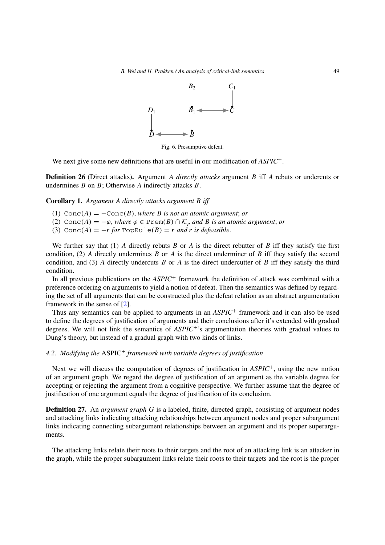

<span id="page-14-0"></span>Fig. 6. Presumptive defeat.

We next give some new definitions that are useful in our modification of *ASPIC*<sup>+</sup>.

**Definition 26** (Direct attacks)**.** Argument *A directly attacks* argument *B* iff *A* rebuts or undercuts or undermines *B* on *B*; Otherwise *A* indirectly attacks *B*.

**Corollary 1.** *Argument A directly attacks argument B iff*

- (1)  $Conc(A) = -Conc(B)$ , *where B is not an atomic argument*; *or*
- (2) Conc $(A) = -\varphi$ , where  $\varphi \in \text{Prem}(B) \cap \mathcal{K}_p$  and B is an atomic argument; or
- (3)  $Conc(A) = -r$  *for*  $TopRule(B) = r$  *and r is defeasible.*

We further say that (1) *A* directly rebuts *B* or *A* is the direct rebutter of *B* iff they satisfy the first condition, (2) *A* directly undermines *B* or *A* is the direct underminer of *B* iff they satisfy the second condition, and (3) *A* directly undercuts *B* or *A* is the direct undercutter of *B* iff they satisfy the third condition.

In all previous publications on the *ASPIC*<sup>+</sup> framework the definition of attack was combined with a preference ordering on arguments to yield a notion of defeat. Then the semantics was defined by regarding the set of all arguments that can be constructed plus the defeat relation as an abstract argumentation framework in the sense of [\[2](#page-18-4)].

Thus any semantics can be applied to arguments in an *ASPIC*<sup>+</sup> framework and it can also be used to define the degrees of justification of arguments and their conclusions after it's extended with gradual degrees. We will not link the semantics of *ASPIC*<sup>+</sup>'s argumentation theories with gradual values to Dung's theory, but instead of a gradual graph with two kinds of links.

# *4.2. Modifying the* ASPIC<sup>+</sup> *framework with variable degrees of justification*

Next we will discuss the computation of degrees of justification in *ASPIC*<sup>+</sup>, using the new notion of an argument graph. We regard the degree of justification of an argument as the variable degree for accepting or rejecting the argument from a cognitive perspective. We further assume that the degree of justification of one argument equals the degree of justification of its conclusion.

**Definition 27.** An *argument graph G* is a labeled, finite, directed graph, consisting of argument nodes and attacking links indicating attacking relationships between argument nodes and proper subargument links indicating connecting subargument relationships between an argument and its proper superarguments.

The attacking links relate their roots to their targets and the root of an attacking link is an attacker in the graph, while the proper subargument links relate their roots to their targets and the root is the proper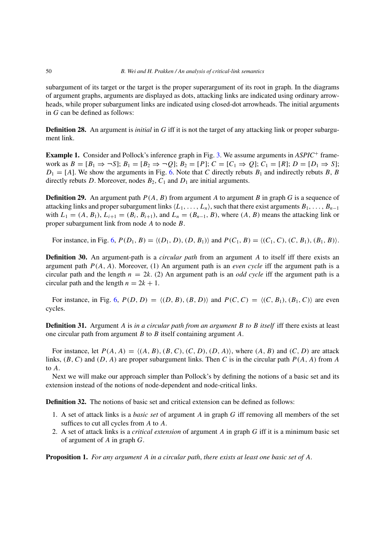subargument of its target or the target is the proper superargument of its root in graph. In the diagrams of argument graphs, arguments are displayed as dots, attacking links are indicated using ordinary arrowheads, while proper subargument links are indicated using closed-dot arrowheads. The initial arguments in *G* can be defined as follows:

**Definition 28.** An argument is *initial* in *G* iff it is not the target of any attacking link or proper subargument link.

<span id="page-15-2"></span>**Example 1.** Consider and Pollock's inference graph in Fig. [3.](#page-7-1) We assume arguments in *ASPIC*<sup>+</sup> framework as  $B = [B_1 \Rightarrow \neg S]$ ;  $B_1 = [B_2 \Rightarrow \neg Q]$ ;  $B_2 = [P]$ ;  $C = [C_1 \Rightarrow Q]$ ;  $C_1 = [R]$ ;  $D = [D_1 \Rightarrow S]$ ;  $D_1 = [A]$ . We show the arguments in Fig. [6.](#page-14-0) Note that *C* directly rebuts  $B_1$  and indirectly rebuts *B*, *B* directly rebuts *D*. Moreover, nodes  $B_2$ ,  $C_1$  and  $D_1$  are initial arguments.

**Definition 29.** An argument path  $P(A, B)$  from argument *A* to argument *B* in graph *G* is a sequence of attacking links and proper subargument links  $\langle L_1, \ldots, L_n \rangle$ , such that there exist arguments  $B_1, \ldots, B_{n-1}$ with  $L_1 = (A, B_1)$ ,  $L_{i+1} = (B_i, B_{i+1})$ , and  $L_n = (B_{n-1}, B)$ , where  $(A, B)$  means the attacking link or proper subargument link from node *A* to node *B*.

For instance, in Fig. [6,](#page-14-0)  $P(D_1, B) = \langle (D_1, D), (D, B_1) \rangle$  and  $P(C_1, B) = \langle (C_1, C), (C, B_1), (B_1, B) \rangle$ .

**Definition 30.** An argument-path is a *circular path* from an argument *A* to itself iff there exists an argument path *P (A, A)*. Moreover, (1) An argument path is an *even cycle* iff the argument path is a circular path and the length  $n = 2k$ . (2) An argument path is an *odd cycle* iff the argument path is a circular path and the length  $n = 2k + 1$ .

For instance, in Fig. [6,](#page-14-0)  $P(D, D) = \langle (D, B), (B, D) \rangle$  and  $P(C, C) = \langle (C, B_1), (B_1, C) \rangle$  are even cycles.

**Definition 31.** Argument *A* is *in a circular path from an argument B to B itself* iff there exists at least one circular path from argument *B* to *B* itself containing argument *A*.

For instance, let  $P(A, A) = \langle (A, B), (B, C), (C, D), (D, A) \rangle$ , where  $(A, B)$  and  $(C, D)$  are attack links, *(B, C)* and *(D, A)* are proper subargument links. Then *C* is in the circular path *P (A, A)* from *A* to *A*.

Next we will make our approach simpler than Pollock's by defining the notions of a basic set and its extension instead of the notions of node-dependent and node-critical links.

<span id="page-15-1"></span>**Definition 32.** The notions of basic set and critical extension can be defined as follows:

- 1. A set of attack links is a *basic set* of argument *A* in graph *G* iff removing all members of the set suffices to cut all cycles from *A* to *A*.
- 2. A set of attack links is a *critical extension* of argument *A* in graph *G* iff it is a minimum basic set of argument of *A* in graph *G*.

<span id="page-15-0"></span>**Proposition 1.** *For any argument A in a circular path*, *there exists at least one basic set of A*.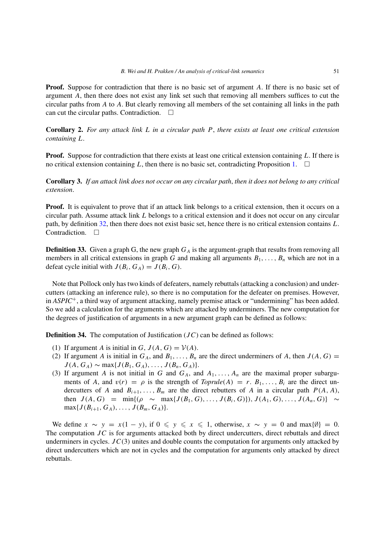**Proof.** Suppose for contradiction that there is no basic set of argument *A*. If there is no basic set of argument *A*, then there does not exist any link set such that removing all members suffices to cut the circular paths from *A* to *A*. But clearly removing all members of the set containing all links in the path can cut the circular paths. Contradiction.  $\Box$ 

**Corollary 2.** *For any attack link L in a circular path P*, *there exists at least one critical extension containing L*.

**Proof.** Suppose for contradiction that there exists at least one critical extension containing *L*. If there is no critical extension containing *L*, then there is no basic set, contradicting Proposition [1.](#page-15-0)  $\Box$ 

**Corollary 3.** *If an attack link does not occur on any circular path*, *then it does not belong to any critical extension*.

**Proof.** It is equivalent to prove that if an attack link belongs to a critical extension, then it occurs on a circular path. Assume attack link *L* belongs to a critical extension and it does not occur on any circular path, by definition [32,](#page-15-1) then there does not exist basic set, hence there is no critical extension contains *L*. Contradiction.  $\Box$ 

**Definition 33.** Given a graph G, the new graph  $G_A$  is the argument-graph that results from removing all members in all critical extensions in graph *G* and making all arguments  $B_1, \ldots, B_n$  which are not in a defeat cycle initial with  $J(B_i, G_A) = J(B_i, G)$ .

Note that Pollock only has two kinds of defeaters, namely rebuttals (attacking a conclusion) and undercutters (attacking an inference rule), so there is no computation for the defeater on premises. However, in *ASPIC*<sup>+</sup>, a third way of argument attacking, namely premise attack or "undermining" has been added. So we add a calculation for the arguments which are attacked by underminers. The new computation for the degrees of justification of arguments in a new argument graph can be defined as follows:

**Definition 34.** The computation of Justification (*JC*) can be defined as follows:

- (1) If argument *A* is initial in *G*,  $J(A, G) = \mathcal{V}(A)$ .
- (2) If argument *A* is initial in  $G_A$ , and  $B_1, \ldots, B_n$  are the direct underminers of *A*, then  $J(A, G)$  = *J*(*A, G<sub><i>A*</sub>) ∼ max{*J*(*B*<sub>1</sub>*, G<sub><i>A*</sub>)*, . . . , J*(*B<sub>n</sub>, G<sub><i>A*</sub>)</sub>}.
- (3) If argument *A* is not initial in *G* and  $G_A$ , and  $A_1, \ldots, A_n$  are the maximal proper subarguments of *A*, and  $v(r) = \rho$  is the strength of *Toprule*(*A*) = *r*. *B*<sub>1</sub>,..., *B*<sub>i</sub> are the direct undercutters of *A* and  $B_{i+1}, \ldots, B_m$  are the direct rebutters of *A* in a circular path  $P(A, A)$ , then  $J(A, G) = \min\{(\rho \sim \max\{J(B_1, G), \ldots, J(B_i, G)\}\)$ ,  $J(A_1, G), \ldots, J(A_n, G)\} \sim$  $max{J(B_{i+1}, G_A), \ldots, J(B_m, G_A)}$ .

We define  $x \sim y = x(1 - y)$ , if  $0 \le y \le x \le 1$ , otherwise,  $x \sim y = 0$  and max $\{\emptyset\} = 0$ . The computation *JC* is for arguments attacked both by direct undercutters, direct rebuttals and direct underminers in cycles.  $JC(3)$  unites and double counts the computation for arguments only attacked by direct undercutters which are not in cycles and the computation for arguments only attacked by direct rebuttals.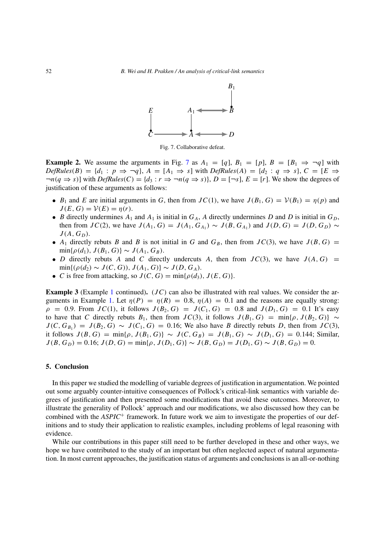

<span id="page-17-1"></span>Fig. 7. Collaborative defeat.

**Example 2.** We assume the arguments in Fig. [7](#page-17-1) as  $A_1 = [q]$ ,  $B_1 = [p]$ ,  $B = [B_1 \Rightarrow \neg q]$  with *DefRules*(*B*) = { $d_1$  :  $p \Rightarrow \neg q$ },  $A = [A_1 \Rightarrow s]$  with *DefRules*(*A*) = { $d_2$  :  $q \Rightarrow s$ },  $C = [E \Rightarrow$  $\neg n(q \Rightarrow s)$ ] with *DefRules*(*C*) = { $d_3 : r \Rightarrow \neg n(q \Rightarrow s)$ },  $D = [\neg s]$ ,  $E = [r]$ . We show the degrees of justification of these arguments as follows:

- $B_1$  and *E* are initial arguments in *G*, then from  $JC(1)$ , we have  $J(B_1, G) = V(B_1) = \eta(p)$  and  $J(E, G) = V(E) = \eta(r)$ .
- *B* directly undermines  $A_1$  and  $A_1$  is initial in  $G_A$ , *A* directly undermines *D* and *D* is initial in  $G_D$ , then from *JC(2)*, we have  $J(A_1, G) = J(A_1, G_{A_1}) \sim J(B, G_{A_1})$  and  $J(D, G) = J(D, G_D) \sim$  $J(A, G_D)$ .
- $A_1$  directly rebuts *B* and *B* is not initial in *G* and  $G_B$ , then from  $JC(3)$ , we have  $J(B, G)$  =  $\min\{\rho(d_1), J(B_1, G)\}\sim J(A_1, G_B).$
- *D* directly rebuts *A* and *C* directly undercuts *A*, then from  $JC(3)$ , we have  $J(A, G)$  =  $min{(\rho(d_2) \sim J(C, G)), J(A_1, G)} \sim J(D, G_A).$
- *C* is free from attacking, so  $J(C, G) = \min\{\rho(d_3), J(E, G)\}.$

**Example 3** (Example [1](#page-15-2) continued). (*JC*) can also be illustrated with real values. We consider the ar-guments in Example [1.](#page-15-2) Let  $\eta(P) = \eta(R) = 0.8$ ,  $\eta(A) = 0.1$  and the reasons are equally strong:  $\rho = 0.9$ . From *JC(1)*, it follows  $J(B_2, G) = J(C_1, G) = 0.8$  and  $J(D_1, G) = 0.1$  It's easy to have that *C* directly rebuts  $B_1$ , then from  $J(C(3))$ , it follows  $J(B_1, G) = \min\{\rho, J(B_2, G)\}\sim$  $J(C, G_{B_1}) = J(B_2, G) \sim J(C_1, G) = 0.16$ ; We also have *B* directly rebuts *D*, then from  $JC(3)$ , it follows  $J(B, G) = \min\{\rho, J(B_1, G)\}\sim J(C, G_B) = J(B_1, G) \sim J(D_1, G) = 0.144$ ; Similar,  $J(B, G_D) = 0.16; J(D, G) = \min\{\rho, J(D_1, G)\} \sim J(B, G_D) = J(D_1, G) \sim J(B, G_D) = 0.$ 

# <span id="page-17-0"></span>**5. Conclusion**

In this paper we studied the modelling of variable degrees of justification in argumentation. We pointed out some arguably counter-intuitive consequences of Pollock's critical-link semantics with variable degrees of justification and then presented some modifications that avoid these outcomes. Moreover, to illustrate the generality of Pollock' approach and our modifications, we also discussed how they can be combined with the *ASPIC*<sup>+</sup> framework. In future work we aim to investigate the properties of our definitions and to study their application to realistic examples, including problems of legal reasoning with evidence.

While our contributions in this paper still need to be further developed in these and other ways, we hope we have contributed to the study of an important but often neglected aspect of natural argumentation. In most current approaches, the justification status of arguments and conclusions is an all-or-nothing